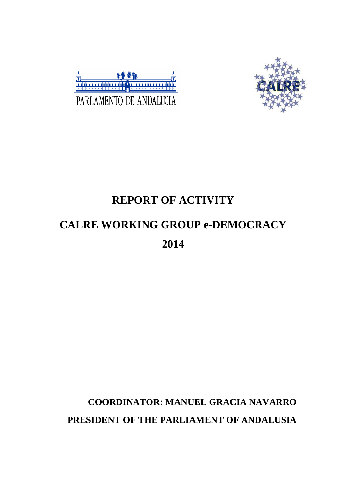



## **REPORT OF ACTIVITY**

# **CALRE WORKING GROUP e-DEMOCRACY 2014**

# **COORDINATOR: MANUEL GRACIA NAVARRO PRESIDENT OF THE PARLIAMENT OF ANDALUSIA**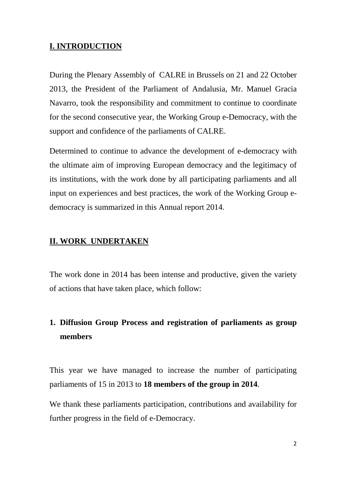#### **I. INTRODUCTION**

During the Plenary Assembly of CALRE in Brussels on 21 and 22 October 2013, the President of the Parliament of Andalusia, Mr. Manuel Gracia Navarro, took the responsibility and commitment to continue to coordinate for the second consecutive year, the Working Group e-Democracy, with the support and confidence of the parliaments of CALRE.

Determined to continue to advance the development of e-democracy with the ultimate aim of improving European democracy and the legitimacy of its institutions, with the work done by all participating parliaments and all input on experiences and best practices, the work of the Working Group edemocracy is summarized in this Annual report 2014.

#### **II. WORK UNDERTAKEN**

The work done in 2014 has been intense and productive, given the variety of actions that have taken place, which follow:

## **1. Diffusion Group Process and registration of parliaments as group members**

This year we have managed to increase the number of participating parliaments of 15 in 2013 to **18 members of the group in 2014**.

We thank these parliaments participation, contributions and availability for further progress in the field of e-Democracy.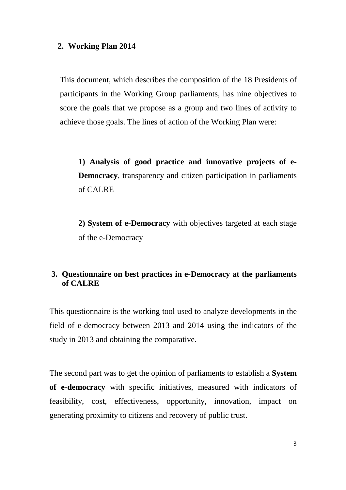#### **2. Working Plan 2014**

This document, which describes the composition of the 18 Presidents of participants in the Working Group parliaments, has nine objectives to score the goals that we propose as a group and two lines of activity to achieve those goals. The lines of action of the Working Plan were:

**1) Analysis of good practice and innovative projects of e-Democracy**, transparency and citizen participation in parliaments of CALRE

**2) System of e-Democracy** with objectives targeted at each stage of the e-Democracy

#### **3. Questionnaire on best practices in e-Democracy at the parliaments of CALRE**

This questionnaire is the working tool used to analyze developments in the field of e-democracy between 2013 and 2014 using the indicators of the study in 2013 and obtaining the comparative.

The second part was to get the opinion of parliaments to establish a **System of e-democracy** with specific initiatives, measured with indicators of feasibility, cost, effectiveness, opportunity, innovation, impact on generating proximity to citizens and recovery of public trust.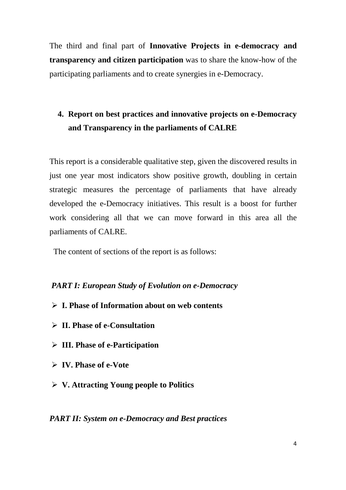The third and final part of **Innovative Projects in e-democracy and transparency and citizen participation** was to share the know-how of the participating parliaments and to create synergies in e-Democracy.

### **4. Report on best practices and innovative projects on e-Democracy and Transparency in the parliaments of CALRE**

This report is a considerable qualitative step, given the discovered results in just one year most indicators show positive growth, doubling in certain strategic measures the percentage of parliaments that have already developed the e-Democracy initiatives. This result is a boost for further work considering all that we can move forward in this area all the parliaments of CALRE.

The content of sections of the report is as follows:

#### *PART I: European Study of Evolution on e-Democracy*

- **I. Phase of Information about on web contents**
- **II. Phase of e-Consultation**
- **III. Phase of e-Participation**
- **IV. Phase of e-Vote**
- **V. Attracting Young people to Politics**

#### *PART II: System on e-Democracy and Best practices*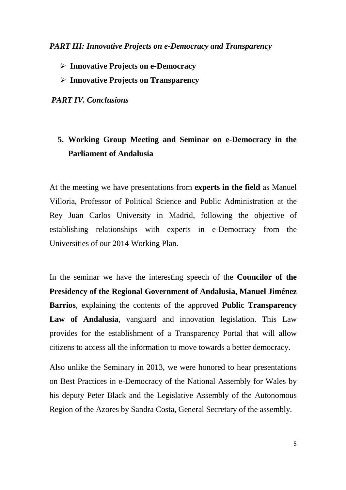#### *PART III: Innovative Projects on e-Democracy and Transparency*

- **Innovative Projects on e-Democracy**
- **Innovative Projects on Transparency**

*PART IV. Conclusions*

## **5. Working Group Meeting and Seminar on e-Democracy in the Parliament of Andalusia**

At the meeting we have presentations from **experts in the field** as Manuel Villoria, Professor of Political Science and Public Administration at the Rey Juan Carlos University in Madrid, following the objective of establishing relationships with experts in e-Democracy from the Universities of our 2014 Working Plan.

In the seminar we have the interesting speech of the **Councilor of the Presidency of the Regional Government of Andalusia, Manuel Jiménez Barrios**, explaining the contents of the approved **Public Transparency Law of Andalusia**, vanguard and innovation legislation. This Law provides for the establishment of a Transparency Portal that will allow citizens to access all the information to move towards a better democracy.

Also unlike the Seminary in 2013, we were honored to hear presentations on Best Practices in e-Democracy of the National Assembly for Wales by his deputy Peter Black and the Legislative Assembly of the Autonomous Region of the Azores by Sandra Costa, General Secretary of the assembly.